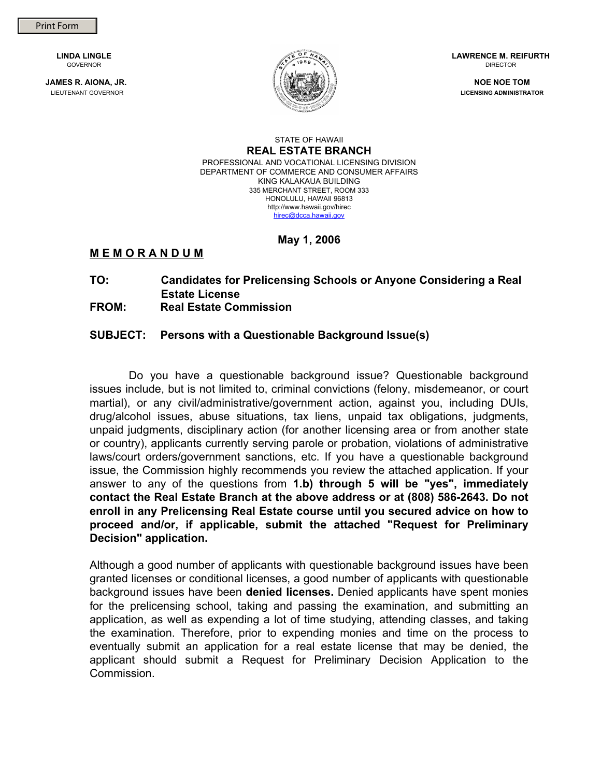**LINDA LINGLE**  GOVERNOR

**JAMES R. AIONA, JR.**  LIEUTENANT GOVERNOR



**LAWRENCE M. REIFURTH**  DIRECTOR

**NOE NOE TOM LICENSING ADMINISTRATOR** 

#### STATE OF HAWAII **REAL ESTATE BRANCH**  PROFESSIONAL AND VOCATIONAL LICENSING DIVISION DEPARTMENT OF COMMERCE AND CONSUMER AFFAIRS KING KALAKAUA BUILDING 335 MERCHANT STREET, ROOM 333 HONOLULU, HAWAII 96813 http://www.hawaii.gov/hirec hirec@dcca.hawaii.gov

**May 1, 2006** 

# **M E M O R A N D U M**

### **TO: Candidates for Prelicensing Schools or Anyone Considering a Real Estate License**

# **FROM: Real Estate Commission**

# **SUBJECT: Persons with a Questionable Background Issue(s)**

Do you have a questionable background issue? Questionable background issues include, but is not limited to, criminal convictions (felony, misdemeanor, or court martial), or any civil/administrative/government action, against you, including DUIs, drug/alcohol issues, abuse situations, tax liens, unpaid tax obligations, judgments, unpaid judgments, disciplinary action (for another licensing area or from another state or country), applicants currently serving parole or probation, violations of administrative laws/court orders/government sanctions, etc. If you have a questionable background issue, the Commission highly recommends you review the attached application. If your answer to any of the questions from **1.b) through 5 will be "yes", immediately contact the Real Estate Branch at the above address or at (808) 586-2643. Do not enroll in any Prelicensing Real Estate course until you secured advice on how to proceed and/or, if applicable, submit the attached "Request for Preliminary Decision" application.** 

Although a good number of applicants with questionable background issues have been granted licenses or conditional licenses, a good number of applicants with questionable background issues have been **denied licenses.** Denied applicants have spent monies for the prelicensing school, taking and passing the examination, and submitting an application, as well as expending a lot of time studying, attending classes, and taking the examination. Therefore, prior to expending monies and time on the process to eventually submit an application for a real estate license that may be denied, the applicant should submit a Request for Preliminary Decision Application to the Commission.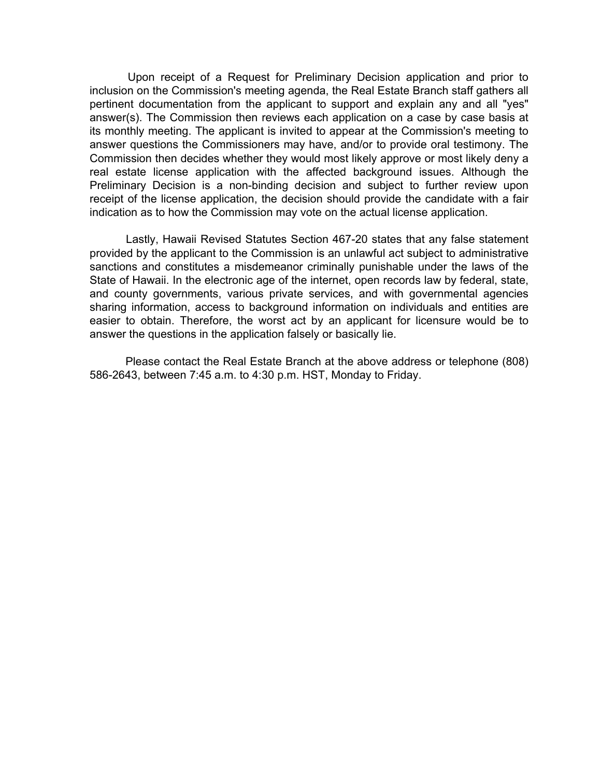Upon receipt of a Request for Preliminary Decision application and prior to inclusion on the Commission's meeting agenda, the Real Estate Branch staff gathers all pertinent documentation from the applicant to support and explain any and all "yes" answer(s). The Commission then reviews each application on a case by case basis at its monthly meeting. The applicant is invited to appear at the Commission's meeting to answer questions the Commissioners may have, and/or to provide oral testimony. The Commission then decides whether they would most likely approve or most likely deny a real estate license application with the affected background issues. Although the Preliminary Decision is a non-binding decision and subject to further review upon receipt of the license application, the decision should provide the candidate with a fair indication as to how the Commission may vote on the actual license application.

Lastly, Hawaii Revised Statutes Section 467-20 states that any false statement provided by the applicant to the Commission is an unlawful act subject to administrative sanctions and constitutes a misdemeanor criminally punishable under the laws of the State of Hawaii. In the electronic age of the internet, open records law by federal, state, and county governments, various private services, and with governmental agencies sharing information, access to background information on individuals and entities are easier to obtain. Therefore, the worst act by an applicant for licensure would be to answer the questions in the application falsely or basically lie.

Please contact the Real Estate Branch at the above address or telephone (808) 586-2643, between 7:45 a.m. to 4:30 p.m. HST, Monday to Friday.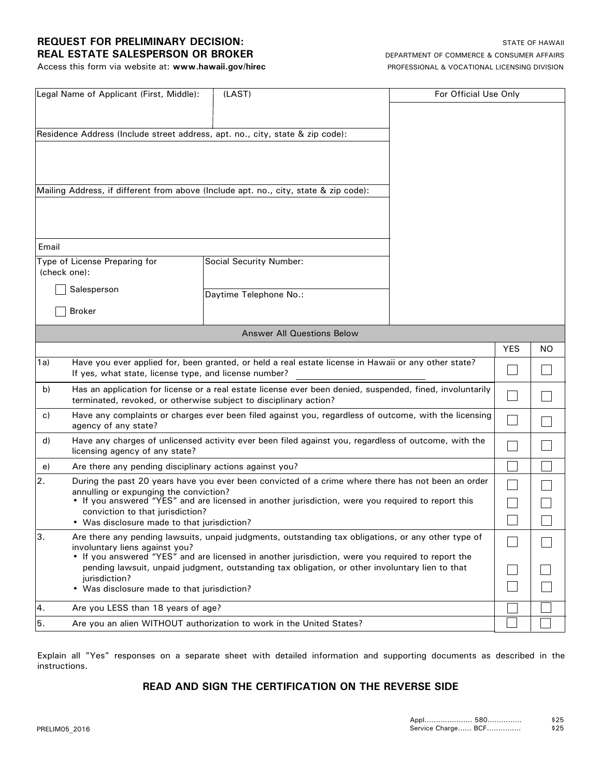## **REQUEST FOR PRELIMINARY DECISION: STATE OF HAWAII REAL ESTATE SALESPERSON OR BROKER** DEPARTMENT OF COMMERCE & CONSUMER AFFAIRS

Access this form via website at: **www.hawaii.gov/hirec** PROFESSIONAL & VOCATIONAL LICENSING DIVISION

| Email<br>Type of License Preparing for<br><b>Social Security Number:</b><br>(check one):<br>Salesperson<br>Daytime Telephone No.:<br><b>Broker</b><br><b>Answer All Questions Below</b><br><b>YES</b><br>NO.<br>Have you ever applied for, been granted, or held a real estate license in Hawaii or any other state?<br>1a)<br>If yes, what state, license type, and license number?<br>Has an application for license or a real estate license ever been denied, suspended, fined, involuntarily<br>b)<br>terminated, revoked, or otherwise subject to disciplinary action?<br>Have any complaints or charges ever been filed against you, regardless of outcome, with the licensing<br>C)<br>agency of any state?<br>Have any charges of unlicensed activity ever been filed against you, regardless of outcome, with the<br>d)<br>licensing agency of any state?<br>Are there any pending disciplinary actions against you?<br>e)<br>During the past 20 years have you ever been convicted of a crime where there has not been an order<br>annulling or expunging the conviction?<br>• If you answered "YES" and are licensed in another jurisdiction, were you required to report this<br>conviction to that jurisdiction?<br>• Was disclosure made to that jurisdiction?<br>Are there any pending lawsuits, unpaid judgments, outstanding tax obligations, or any other type of<br>involuntary liens against you?<br>• If you answered "YES" and are licensed in another jurisdiction, were you required to report the<br>pending lawsuit, unpaid judgment, outstanding tax obligation, or other involuntary lien to that<br>jurisdiction?<br>• Was disclosure made to that jurisdiction?<br>Are you LESS than 18 years of age? | Legal Name of Applicant (First, Middle): |  | (LAST) | For Official Use Only |  |  |  |  |  |
|--------------------------------------------------------------------------------------------------------------------------------------------------------------------------------------------------------------------------------------------------------------------------------------------------------------------------------------------------------------------------------------------------------------------------------------------------------------------------------------------------------------------------------------------------------------------------------------------------------------------------------------------------------------------------------------------------------------------------------------------------------------------------------------------------------------------------------------------------------------------------------------------------------------------------------------------------------------------------------------------------------------------------------------------------------------------------------------------------------------------------------------------------------------------------------------------------------------------------------------------------------------------------------------------------------------------------------------------------------------------------------------------------------------------------------------------------------------------------------------------------------------------------------------------------------------------------------------------------------------------------------------------------------------------------------------------------------------------------------------|------------------------------------------|--|--------|-----------------------|--|--|--|--|--|
| Residence Address (Include street address, apt. no., city, state & zip code):<br>Mailing Address, if different from above (Include apt. no., city, state & zip code):<br>2.<br> з.<br>4.                                                                                                                                                                                                                                                                                                                                                                                                                                                                                                                                                                                                                                                                                                                                                                                                                                                                                                                                                                                                                                                                                                                                                                                                                                                                                                                                                                                                                                                                                                                                             |                                          |  |        |                       |  |  |  |  |  |
|                                                                                                                                                                                                                                                                                                                                                                                                                                                                                                                                                                                                                                                                                                                                                                                                                                                                                                                                                                                                                                                                                                                                                                                                                                                                                                                                                                                                                                                                                                                                                                                                                                                                                                                                      |                                          |  |        |                       |  |  |  |  |  |
|                                                                                                                                                                                                                                                                                                                                                                                                                                                                                                                                                                                                                                                                                                                                                                                                                                                                                                                                                                                                                                                                                                                                                                                                                                                                                                                                                                                                                                                                                                                                                                                                                                                                                                                                      |                                          |  |        |                       |  |  |  |  |  |
|                                                                                                                                                                                                                                                                                                                                                                                                                                                                                                                                                                                                                                                                                                                                                                                                                                                                                                                                                                                                                                                                                                                                                                                                                                                                                                                                                                                                                                                                                                                                                                                                                                                                                                                                      |                                          |  |        |                       |  |  |  |  |  |
|                                                                                                                                                                                                                                                                                                                                                                                                                                                                                                                                                                                                                                                                                                                                                                                                                                                                                                                                                                                                                                                                                                                                                                                                                                                                                                                                                                                                                                                                                                                                                                                                                                                                                                                                      |                                          |  |        |                       |  |  |  |  |  |
|                                                                                                                                                                                                                                                                                                                                                                                                                                                                                                                                                                                                                                                                                                                                                                                                                                                                                                                                                                                                                                                                                                                                                                                                                                                                                                                                                                                                                                                                                                                                                                                                                                                                                                                                      |                                          |  |        |                       |  |  |  |  |  |
|                                                                                                                                                                                                                                                                                                                                                                                                                                                                                                                                                                                                                                                                                                                                                                                                                                                                                                                                                                                                                                                                                                                                                                                                                                                                                                                                                                                                                                                                                                                                                                                                                                                                                                                                      |                                          |  |        |                       |  |  |  |  |  |
|                                                                                                                                                                                                                                                                                                                                                                                                                                                                                                                                                                                                                                                                                                                                                                                                                                                                                                                                                                                                                                                                                                                                                                                                                                                                                                                                                                                                                                                                                                                                                                                                                                                                                                                                      |                                          |  |        |                       |  |  |  |  |  |
|                                                                                                                                                                                                                                                                                                                                                                                                                                                                                                                                                                                                                                                                                                                                                                                                                                                                                                                                                                                                                                                                                                                                                                                                                                                                                                                                                                                                                                                                                                                                                                                                                                                                                                                                      |                                          |  |        |                       |  |  |  |  |  |
|                                                                                                                                                                                                                                                                                                                                                                                                                                                                                                                                                                                                                                                                                                                                                                                                                                                                                                                                                                                                                                                                                                                                                                                                                                                                                                                                                                                                                                                                                                                                                                                                                                                                                                                                      |                                          |  |        |                       |  |  |  |  |  |
|                                                                                                                                                                                                                                                                                                                                                                                                                                                                                                                                                                                                                                                                                                                                                                                                                                                                                                                                                                                                                                                                                                                                                                                                                                                                                                                                                                                                                                                                                                                                                                                                                                                                                                                                      |                                          |  |        |                       |  |  |  |  |  |
|                                                                                                                                                                                                                                                                                                                                                                                                                                                                                                                                                                                                                                                                                                                                                                                                                                                                                                                                                                                                                                                                                                                                                                                                                                                                                                                                                                                                                                                                                                                                                                                                                                                                                                                                      |                                          |  |        |                       |  |  |  |  |  |
|                                                                                                                                                                                                                                                                                                                                                                                                                                                                                                                                                                                                                                                                                                                                                                                                                                                                                                                                                                                                                                                                                                                                                                                                                                                                                                                                                                                                                                                                                                                                                                                                                                                                                                                                      |                                          |  |        |                       |  |  |  |  |  |
|                                                                                                                                                                                                                                                                                                                                                                                                                                                                                                                                                                                                                                                                                                                                                                                                                                                                                                                                                                                                                                                                                                                                                                                                                                                                                                                                                                                                                                                                                                                                                                                                                                                                                                                                      |                                          |  |        |                       |  |  |  |  |  |
|                                                                                                                                                                                                                                                                                                                                                                                                                                                                                                                                                                                                                                                                                                                                                                                                                                                                                                                                                                                                                                                                                                                                                                                                                                                                                                                                                                                                                                                                                                                                                                                                                                                                                                                                      |                                          |  |        |                       |  |  |  |  |  |
|                                                                                                                                                                                                                                                                                                                                                                                                                                                                                                                                                                                                                                                                                                                                                                                                                                                                                                                                                                                                                                                                                                                                                                                                                                                                                                                                                                                                                                                                                                                                                                                                                                                                                                                                      |                                          |  |        |                       |  |  |  |  |  |
|                                                                                                                                                                                                                                                                                                                                                                                                                                                                                                                                                                                                                                                                                                                                                                                                                                                                                                                                                                                                                                                                                                                                                                                                                                                                                                                                                                                                                                                                                                                                                                                                                                                                                                                                      |                                          |  |        |                       |  |  |  |  |  |
|                                                                                                                                                                                                                                                                                                                                                                                                                                                                                                                                                                                                                                                                                                                                                                                                                                                                                                                                                                                                                                                                                                                                                                                                                                                                                                                                                                                                                                                                                                                                                                                                                                                                                                                                      |                                          |  |        |                       |  |  |  |  |  |
|                                                                                                                                                                                                                                                                                                                                                                                                                                                                                                                                                                                                                                                                                                                                                                                                                                                                                                                                                                                                                                                                                                                                                                                                                                                                                                                                                                                                                                                                                                                                                                                                                                                                                                                                      |                                          |  |        |                       |  |  |  |  |  |
|                                                                                                                                                                                                                                                                                                                                                                                                                                                                                                                                                                                                                                                                                                                                                                                                                                                                                                                                                                                                                                                                                                                                                                                                                                                                                                                                                                                                                                                                                                                                                                                                                                                                                                                                      |                                          |  |        |                       |  |  |  |  |  |
|                                                                                                                                                                                                                                                                                                                                                                                                                                                                                                                                                                                                                                                                                                                                                                                                                                                                                                                                                                                                                                                                                                                                                                                                                                                                                                                                                                                                                                                                                                                                                                                                                                                                                                                                      |                                          |  |        |                       |  |  |  |  |  |
|                                                                                                                                                                                                                                                                                                                                                                                                                                                                                                                                                                                                                                                                                                                                                                                                                                                                                                                                                                                                                                                                                                                                                                                                                                                                                                                                                                                                                                                                                                                                                                                                                                                                                                                                      |                                          |  |        |                       |  |  |  |  |  |
|                                                                                                                                                                                                                                                                                                                                                                                                                                                                                                                                                                                                                                                                                                                                                                                                                                                                                                                                                                                                                                                                                                                                                                                                                                                                                                                                                                                                                                                                                                                                                                                                                                                                                                                                      |                                          |  |        |                       |  |  |  |  |  |
|                                                                                                                                                                                                                                                                                                                                                                                                                                                                                                                                                                                                                                                                                                                                                                                                                                                                                                                                                                                                                                                                                                                                                                                                                                                                                                                                                                                                                                                                                                                                                                                                                                                                                                                                      |                                          |  |        |                       |  |  |  |  |  |
|                                                                                                                                                                                                                                                                                                                                                                                                                                                                                                                                                                                                                                                                                                                                                                                                                                                                                                                                                                                                                                                                                                                                                                                                                                                                                                                                                                                                                                                                                                                                                                                                                                                                                                                                      |                                          |  |        |                       |  |  |  |  |  |
|                                                                                                                                                                                                                                                                                                                                                                                                                                                                                                                                                                                                                                                                                                                                                                                                                                                                                                                                                                                                                                                                                                                                                                                                                                                                                                                                                                                                                                                                                                                                                                                                                                                                                                                                      |                                          |  |        |                       |  |  |  |  |  |
|                                                                                                                                                                                                                                                                                                                                                                                                                                                                                                                                                                                                                                                                                                                                                                                                                                                                                                                                                                                                                                                                                                                                                                                                                                                                                                                                                                                                                                                                                                                                                                                                                                                                                                                                      |                                          |  |        |                       |  |  |  |  |  |
|                                                                                                                                                                                                                                                                                                                                                                                                                                                                                                                                                                                                                                                                                                                                                                                                                                                                                                                                                                                                                                                                                                                                                                                                                                                                                                                                                                                                                                                                                                                                                                                                                                                                                                                                      |                                          |  |        |                       |  |  |  |  |  |
|                                                                                                                                                                                                                                                                                                                                                                                                                                                                                                                                                                                                                                                                                                                                                                                                                                                                                                                                                                                                                                                                                                                                                                                                                                                                                                                                                                                                                                                                                                                                                                                                                                                                                                                                      |                                          |  |        |                       |  |  |  |  |  |
|                                                                                                                                                                                                                                                                                                                                                                                                                                                                                                                                                                                                                                                                                                                                                                                                                                                                                                                                                                                                                                                                                                                                                                                                                                                                                                                                                                                                                                                                                                                                                                                                                                                                                                                                      |                                          |  |        |                       |  |  |  |  |  |
| 5.<br>Are you an alien WITHOUT authorization to work in the United States?                                                                                                                                                                                                                                                                                                                                                                                                                                                                                                                                                                                                                                                                                                                                                                                                                                                                                                                                                                                                                                                                                                                                                                                                                                                                                                                                                                                                                                                                                                                                                                                                                                                           |                                          |  |        |                       |  |  |  |  |  |

Explain all "Yes" responses on a separate sheet with detailed information and supporting documents as described in the instructions.

# **READ AND SIGN THE CERTIFICATION ON THE REVERSE SIDE**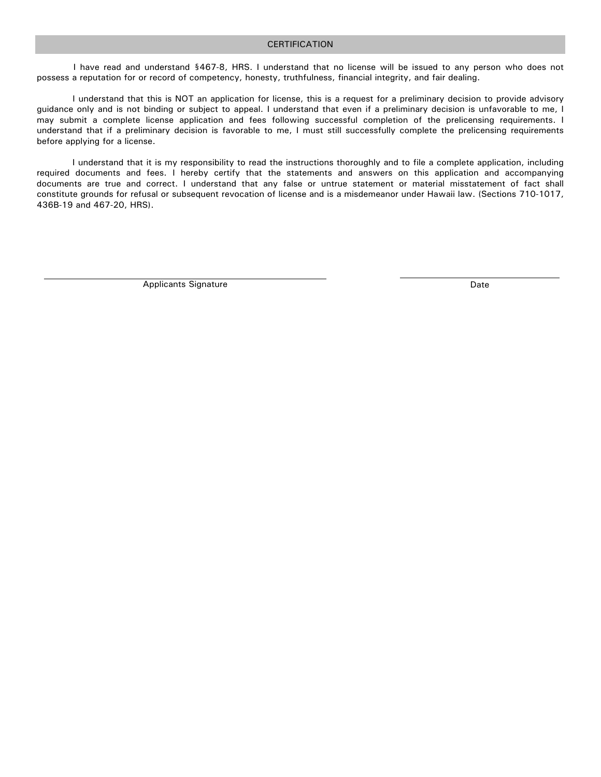### CERTIFICATION

I have read and understand §467-8, HRS. I understand that no license will be issued to any person who does not possess a reputation for or record of competency, honesty, truthfulness, financial integrity, and fair dealing.

I understand that this is NOT an application for license, this is a request for a preliminary decision to provide advisory guidance only and is not binding or subject to appeal. I understand that even if a preliminary decision is unfavorable to me, I may submit a complete license application and fees following successful completion of the prelicensing requirements. I understand that if a preliminary decision is favorable to me, I must still successfully complete the prelicensing requirements before applying for a license.

I understand that it is my responsibility to read the instructions thoroughly and to file a complete application, including required documents and fees. I hereby certify that the statements and answers on this application and accompanying documents are true and correct. I understand that any false or untrue statement or material misstatement of fact shall constitute grounds for refusal or subsequent revocation of license and is a misdemeanor under Hawaii law. (Sections 710-1017, 436B-19 and 467-20, HRS).

Applicants Signature **Date** Date of **Date** Date of *Date* Date of *Date* Date of *Date* Date of *Date* Date of *Date* Date of *Date* Date of *Date* of *Date* of *Date* of *Date* of *Date* of *Date* of *Date* of *Date* of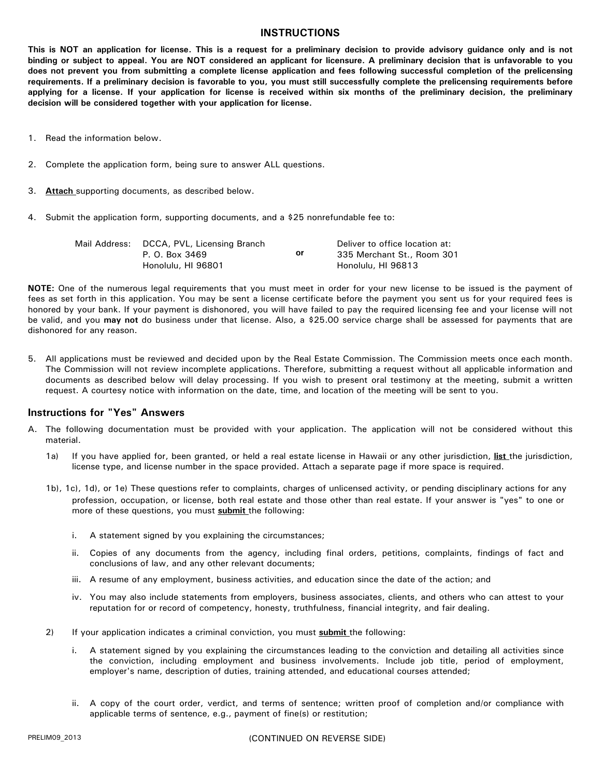### **INSTRUCTIONS**

**This is NOT an application for license. This is a request for a preliminary decision to provide advisory guidance only and is not binding or subject to appeal. You are NOT considered an applicant for licensure. A preliminary decision that is unfavorable to you does not prevent you from submitting a complete license application and fees following successful completion of the prelicensing requirements. If a preliminary decision is favorable to you, you must still successfully complete the prelicensing requirements before applying for a license. If your application for license is received within six months of the preliminary decision, the preliminary decision will be considered together with your application for license.** 

- 1. Read the information below.
- 2. Complete the application form, being sure to answer ALL questions.
- 3. **Attach** supporting documents, as described below.
- 4. Submit the application form, supporting documents, and a \$25 nonrefundable fee to:

| Mail Address: DCCA, PVL, Licensing Branch |    | Deliver to office location at: |  |
|-------------------------------------------|----|--------------------------------|--|
| P. O. Box 3469                            | or | 335 Merchant St., Room 301     |  |
| Honolulu, HI 96801                        |    | Honolulu, HI 96813             |  |

**NOTE:** One of the numerous legal requirements that you must meet in order for your new license to be issued is the payment of fees as set forth in this application. You may be sent a license certificate before the payment you sent us for your required fees is honored by your bank. If your payment is dishonored, you will have failed to pay the required licensing fee and your license will not be valid, and you **may not** do business under that license. Also, a \$25.00 service charge shall be assessed for payments that are dishonored for any reason.

5. All applications must be reviewed and decided upon by the Real Estate Commission. The Commission meets once each month. The Commission will not review incomplete applications. Therefore, submitting a request without all applicable information and documents as described below will delay processing. If you wish to present oral testimony at the meeting, submit a written request. A courtesy notice with information on the date, time, and location of the meeting will be sent to you.

### **Instructions for "Yes" Answers**

- A. The following documentation must be provided with your application. The application will not be considered without this material.
	- 1a) If you have applied for, been granted, or held a real estate license in Hawaii or any other jurisdiction, **list** the jurisdiction, license type, and license number in the space provided. Attach a separate page if more space is required.
	- 1b), 1c), 1d), or 1e) These questions refer to complaints, charges of unlicensed activity, or pending disciplinary actions for any profession, occupation, or license, both real estate and those other than real estate. If your answer is "yes" to one or more of these questions, you must **submit** the following:
		- i. A statement signed by you explaining the circumstances;
		- ii. Copies of any documents from the agency, including final orders, petitions, complaints, findings of fact and conclusions of law, and any other relevant documents;
		- iii. A resume of any employment, business activities, and education since the date of the action; and
		- iv. You may also include statements from employers, business associates, clients, and others who can attest to your reputation for or record of competency, honesty, truthfulness, financial integrity, and fair dealing.
	- 2) If your application indicates a criminal conviction, you must **submit** the following:
		- i. A statement signed by you explaining the circumstances leading to the conviction and detailing all activities since the conviction, including employment and business involvements. Include job title, period of employment, employer's name, description of duties, training attended, and educational courses attended;
		- ii. A copy of the court order, verdict, and terms of sentence; written proof of completion and/or compliance with applicable terms of sentence, e.g., payment of fine(s) or restitution;